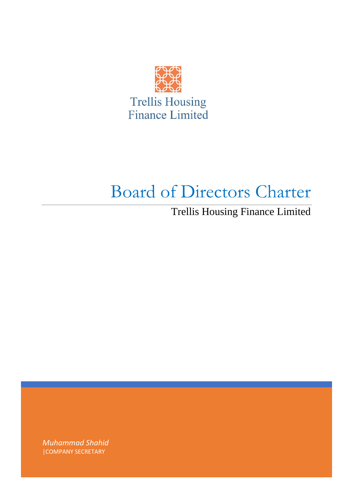

# Board of Directors Charter

Trellis Housing Finance Limited

*Muhammad Shahid* |COMPANY SECRETARY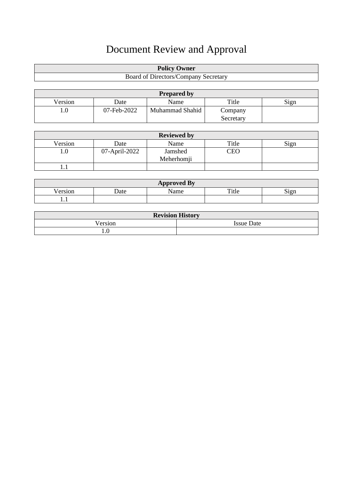# Document Review and Approval

| <b>Policy Owner</b>                  |
|--------------------------------------|
| Board of Directors/Company Secretary |

| <b>Prepared by</b> |             |                 |           |      |
|--------------------|-------------|-----------------|-----------|------|
| Version            | Date        | Name            | Title     | Sign |
| $_{\rm 1.0}$       | 07-Feb-2022 | Muhammad Shahid | Company   |      |
|                    |             |                 | Secretary |      |

| <b>Reviewed by</b> |               |                       |       |      |
|--------------------|---------------|-----------------------|-------|------|
| Version            | Date          | Name                  | Title | Sign |
| ı.O                | 07-April-2022 | Jamshed<br>Meherhomji | CEO   |      |
| .                  |               |                       |       |      |

| <b>Approved By</b> |             |      |       |                  |
|--------------------|-------------|------|-------|------------------|
| Jersior            | <b>Date</b> | lame | Title | $\sim$<br>ί1 σ.n |
| 1.1                |             |      |       |                  |

| <b>Revision History</b> |                   |  |  |
|-------------------------|-------------------|--|--|
| √ersion                 | <b>Issue Date</b> |  |  |
| .                       |                   |  |  |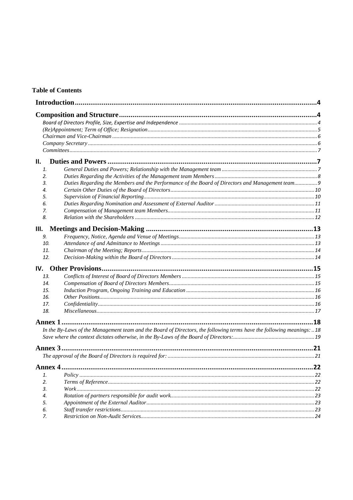# **Table of Contents**

|          |                                                                                                                       | .4 |
|----------|-----------------------------------------------------------------------------------------------------------------------|----|
|          |                                                                                                                       |    |
|          |                                                                                                                       |    |
|          |                                                                                                                       |    |
|          |                                                                                                                       |    |
|          |                                                                                                                       |    |
|          |                                                                                                                       |    |
| П.       |                                                                                                                       |    |
| 1.       |                                                                                                                       |    |
| 2.       |                                                                                                                       |    |
| З.       | Duties Regarding the Members and the Performance of the Board of Directors and Management team                        |    |
| 4.       |                                                                                                                       |    |
| 5.       |                                                                                                                       |    |
| 6.       |                                                                                                                       |    |
| 7.       |                                                                                                                       |    |
| 8.       |                                                                                                                       |    |
| III.     |                                                                                                                       |    |
| 9.       |                                                                                                                       |    |
| 10.      |                                                                                                                       |    |
| 11.      |                                                                                                                       |    |
| 12.      |                                                                                                                       |    |
|          |                                                                                                                       |    |
| 13.      |                                                                                                                       |    |
| 14.      |                                                                                                                       |    |
| 15.      |                                                                                                                       |    |
| 16.      |                                                                                                                       |    |
| 17.      |                                                                                                                       |    |
| 18.      |                                                                                                                       |    |
| Annex 1  |                                                                                                                       | 18 |
|          | In the By-Laws of the Management team and the Board of Directors, the following terms have the following meanings: 18 |    |
|          |                                                                                                                       |    |
|          |                                                                                                                       |    |
|          |                                                                                                                       |    |
|          |                                                                                                                       |    |
|          |                                                                                                                       |    |
| 1.<br>2. |                                                                                                                       |    |
| 3.       |                                                                                                                       |    |
| 4.       |                                                                                                                       |    |
| 5.       |                                                                                                                       |    |
| 6.       |                                                                                                                       |    |
| 7.       |                                                                                                                       |    |
|          |                                                                                                                       |    |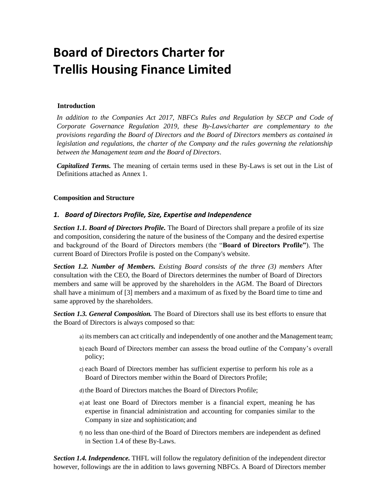# **Board of Directors Charter for Trellis Housing Finance Limited**

# **Introduction**

<span id="page-3-0"></span>In addition to the Companies Act 2017, NBFCs Rules and Regulation by SECP and Code of *Corporate Governance Regulation 2019, these By-Laws/charter are complementary to the provisions regarding the Board of Directors and the Board of Directors members as contained in legislation and regulations, the charter of the Company and the rules governing the relationship between the Management team and the Board of Directors*.

*Capitalized Terms.* The meaning of certain terms used in these By-Laws is set out in the List of Definitions attached as Annex 1.

# **Composition and Structure**

# *1. Board of Directors Profile, Size, Expertise and Independence*

<span id="page-3-2"></span><span id="page-3-1"></span>*Section 1.1. Board of Directors Profile.* The Board of Directors shall prepare a profile of its size and composition, considering the nature of the business of the Company and the desired expertise and background of the Board of Directors members (the "**Board of Directors Profile"**). The current Board of Directors Profile is posted on the Company's website.

*Section 1.2. Number of Members. Existing Board consists of the three (3) members* After consultation with the CEO, the Board of Directors determines the number of Board of Directors members and same will be approved by the shareholders in the AGM. The Board of Directors shall have a minimum of [3] members and a maximum of as fixed by the Board time to time and same approved by the shareholders.

*Section 1.3. General Composition.* The Board of Directors shall use its best efforts to ensure that the Board of Directors is always composed so that:

- a) its members can act critically and independently of one another and the Management team;
- b) each Board of Directors member can assess the broad outline of the Company's overall policy;
- c) each Board of Directors member has sufficient expertise to perform his role as a Board of Directors member within the Board of Directors Profile;
- d) the Board of Directors matches the Board of Directors Profile;
- e) at least one Board of Directors member is a financial expert, meaning he has expertise in financial administration and accounting for companies similar to the Company in size and sophistication; and
- f) no less than one-third of the Board of Directors members are independent as defined in Section 1.4 of these By-Laws.

*Section 1.4. Independence.* THFL will follow the regulatory definition of the independent director however, followings are the in addition to laws governing NBFCs. A Board of Directors member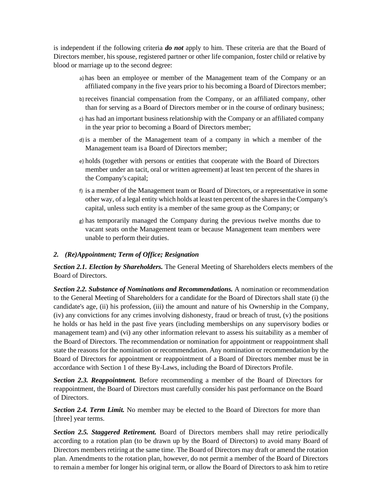is independent if the following criteria *do not* apply to him. These criteria are that the Board of Directors member, his spouse, registered partner or other life companion, foster child or relative by blood or marriage up to the second degree:

- a) has been an employee or member of the Management team of the Company or an affiliated company in the five years prior to his becoming a Board of Directors member;
- b) receives financial compensation from the Company, or an affiliated company, other than for serving as a Board of Directors member or in the course of ordinary business;
- c) has had an important business relationship with the Company or an affiliated company in the year prior to becoming a Board of Directors member;
- d) is a member of the Management team of a company in which a member of the Management team is a Board of Directors member;
- e) holds (together with persons or entities that cooperate with the Board of Directors member under an tacit, oral or written agreement) at least ten percent of the shares in the Company's capital;
- f) is a member of the Management team or Board of Directors, or a representative in some other way, of a legal entity which holds at least ten percent of the sharesin the Company's capital, unless such entity is a member of the same group as the Company; or
- g) has temporarily managed the Company during the previous twelve months due to vacant seats on the Management team or because Management team members were unable to perform their duties.

#### *2. (Re)Appointment; Term of Office; Resignation*

*Section 2.1. Election by Shareholders.* The General Meeting of Shareholders elects members of the Board of Directors.

<span id="page-4-0"></span>*Section 2.2. Substance of Nominations and Recommendations.* A nomination or recommendation to the General Meeting of Shareholders for a candidate for the Board of Directors shall state (i) the candidate's age, (ii) his profession, (iii) the amount and nature of his Ownership in the Company, (iv) any convictions for any crimes involving dishonesty, fraud or breach of trust, (v) the positions he holds or has held in the past five years (including memberships on any supervisory bodies or management team) and (vi) any other information relevant to assess his suitability as a member of the Board of Directors. The recommendation or nomination for appointment or reappointment shall state the reasons for the nomination or recommendation. Any nomination or recommendation by the Board of Directors for appointment or reappointment of a Board of Directors member must be in accordance with Section 1 of these By-Laws, including the Board of Directors Profile.

*Section 2.3. Reappointment.* Before recommending a member of the Board of Directors for reappointment, the Board of Directors must carefully consider his past performance on the Board of Directors.

*Section 2.4. Term Limit.* No member may be elected to the Board of Directors for more than [three] year terms.

*Section 2.5. Staggered Retirement.* Board of Directors members shall may retire periodically according to a rotation plan (to be drawn up by the Board of Directors) to avoid many Board of Directors members retiring at the same time. The Board of Directors may draft or amend the rotation plan. Amendments to the rotation plan, however, do not permit a member of the Board of Directors to remain a member for longer his original term, or allow the Board of Directors to ask him to retire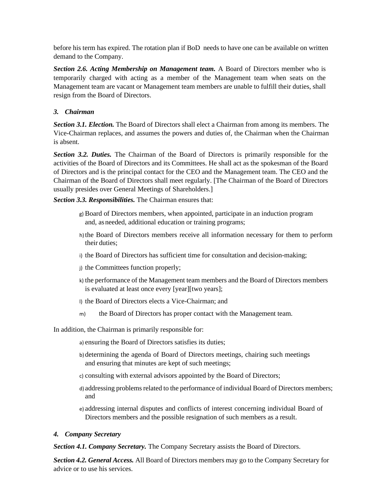before his term has expired. The rotation plan if BoD needs to have one can be available on written demand to the Company.

**Section 2.6. Acting Membership on Management team.** A Board of Directors member who is temporarily charged with acting as a member of the Management team when seats on the Management team are vacant or Management team members are unable to fulfill their duties, shall resign from the Board of Directors.

# *3. Chairman*

*Section 3.1. Election.* The Board of Directors shall elect a Chairman from among its members. The Vice-Chairman replaces, and assumes the powers and duties of, the Chairman when the Chairman is absent.

<span id="page-5-0"></span>*Section 3.2. Duties.* The Chairman of the Board of Directors is primarily responsible for the activities of the Board of Directors and its Committees. He shall act as the spokesman of the Board of Directors and is the principal contact for the CEO and the Management team. The CEO and the Chairman of the Board of Directors shall meet regularly. [The Chairman of the Board of Directors usually presides over General Meetings of Shareholders.]

*Section 3.3. Responsibilities.* The Chairman ensures that:

- g) Board of Directors members, when appointed, participate in an induction program and, asneeded, additional education or training programs;
- h) the Board of Directors members receive all information necessary for them to perform their duties;
- i) the Board of Directors has sufficient time for consultation and decision-making;
- j) the Committees function properly;
- k) the performance of the Management team members and the Board of Directors members is evaluated at least once every [year][two years];
- l) the Board of Directors elects a Vice-Chairman; and
- m) the Board of Directors has proper contact with the Management team.

In addition, the Chairman is primarily responsible for:

a) ensuring the Board of Directors satisfies its duties;

- b) determining the agenda of Board of Directors meetings, chairing such meetings and ensuring that minutes are kept of such meetings;
- c) consulting with external advisors appointed by the Board of Directors;
- d) addressing problems related to the performance of individual Board of Directors members; and
- e) addressing internal disputes and conflicts of interest concerning individual Board of Directors members and the possible resignation of such members as a result.

# *4. Company Secretary*

*Section 4.1. Company Secretary.* The Company Secretary assists the Board of Directors.

<span id="page-5-1"></span>*Section 4.2. General Access.* All Board of Directors members may go to the Company Secretary for advice or to use his services.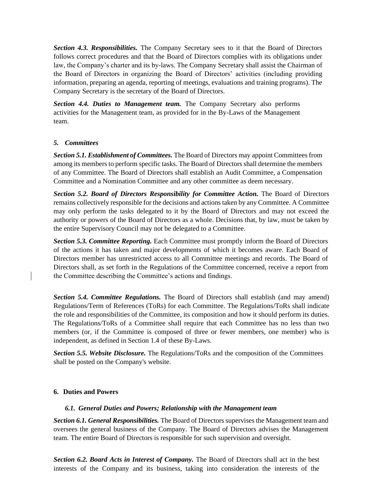*Section 4.3. Responsibilities.* The Company Secretary sees to it that the Board of Directors follows correct procedures and that the Board of Directors complies with its obligations under law, the Company's charter and its by-laws. The Company Secretary shall assist the Chairman of the Board of Directors in organizing the Board of Directors' activities (including providing information, preparing an agenda, reporting of meetings, evaluations and training programs). The Company Secretary is the secretary of the Board of Directors.

*Section 4.4. Duties to Management team.* The Company Secretary also performs activities for the Management team, as provided for in the By-Laws of the Management team.

# *5. Committees*

<span id="page-6-0"></span>*Section 5.1. Establishment of Committees.* The Board of Directors may appoint Committees from among its members to perform specific tasks. The Board of Directors shall determine the members of any Committee. The Board of Directors shall establish an Audit Committee, a Compensation Committee and a Nomination Committee and any other committee as deem necessary.

*Section 5.2. Board of Directors Responsibility for Committee Action.* The Board of Directors remains collectively responsible for the decisions and actions taken by any Committee. A Committee may only perform the tasks delegated to it by the Board of Directors and may not exceed the authority or powers of the Board of Directors as a whole. Decisions that, by law, must be taken by the entire Supervisory Council may not be delegated to a Committee.

*Section 5.3. Committee Reporting.* Each Committee must promptly inform the Board of Directors of the actions it has taken and major developments of which it becomes aware. Each Board of Directors member has unrestricted access to all Committee meetings and records. The Board of Directors shall, as set forth in the Regulations of the Committee concerned, receive a report from the Committee describing the Committee's actions and findings.

*Section 5.4. Committee Regulations.* The Board of Directors shall establish (and may amend) Regulations/Term of References (ToRs) for each Committee. The Regulations/ToRs shall indicate the role and responsibilities of the Committee, its composition and how it should perform its duties. The Regulations/ToRs of a Committee shall require that each Committee has no less than two members (or, if the Committee is composed of three or fewer members, one member) who is independent, as defined in Section 1.4 of these By-Laws.

*Section 5.5. Website Disclosure.* The Regulations/ToRs and the composition of the Committees shall be posted on the Company's website.

# **6. Duties and Powers**

#### *6.1. General Duties and Powers; Relationship with the Management team*

<span id="page-6-2"></span><span id="page-6-1"></span>*Section 6.1. General Responsibilities.* The Board of Directors supervises the Management team and oversees the general business of the Company. The Board of Directors advises the Management team. The entire Board of Directors is responsible for such supervision and oversight.

*Section 6.2. Board Acts in Interest of Company.* The Board of Directors shall act in the best interests of the Company and its business, taking into consideration the interests of the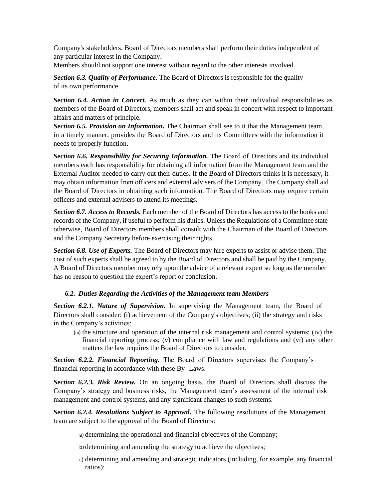Company's stakeholders. Board of Directors members shall perform their duties independent of any particular interest in the Company.

Members should not support one interest without regard to the other interests involved.

*Section 6.3. Quality of Performance.* The Board of Directors is responsible for the quality of its own performance.

*Section 6.4. Action in Concert.* As much as they can within their individual responsibilities as members of the Board of Directors, members shall act and speak in concert with respect to important affairs and matters of principle.

*Section 6.5. Provision on Information.* The Chairman shall see to it that the Management team, in a timely manner, provides the Board of Directors and its Committees with the information it needs to properly function.

*Section 6.6. Responsibility for Securing Information.* The Board of Directors and its individual members each has responsibility for obtaining all information from the Management team and the External Auditor needed to carry out their duties. If the Board of Directors thinks it is necessary, it may obtain information from officers and external advisers of the Company. The Company shall aid the Board of Directors in obtaining such information. The Board of Directors may require certain officers and external advisers to attend its meetings.

*Section 6.7. Access to Records.* Each member of the Board of Directors has access to the books and records of the Company, if useful to perform his duties. Unless the Regulations of a Committee state otherwise, Board of Directors members shall consult with the Chairman of the Board of Directors and the Company Secretary before exercising their rights.

*Section 6.8. Use of Experts.* The Board of Directors may hire experts to assist or advise them. The cost of such experts shall be agreed to by the Board of Directors and shall be paid by the Company. A Board of Directors member may rely upon the advice of a relevant expert so long as the member has no reason to question the expert's report or conclusion.

# *6.2. Duties Regarding the Activities of the Management team Members*

<span id="page-7-0"></span>*Section 6.2.1. Nature of Supervision.* In supervising the Management team, the Board of Directors shall consider: (i) achievement of the Company's objectives; (ii) the strategy and risks in the Company's activities;

(iii) the structure and operation of the internal risk management and control systems; (iv) the financial reporting process; (v) compliance with law and regulations and (vi) any other matters the law requires the Board of Directors to consider.

*Section 6.2.2. Financial Reporting.* The Board of Directors supervises the Company's financial reporting in accordance with these By -Laws.

*Section 6.2.3. Risk Review.* On an ongoing basis, the Board of Directors shall discuss the Company's strategy and business risks, the Management team's assessment of the internal risk management and control systems, and any significant changes to such systems.

*Section 6.2.4. Resolutions Subject to Approval.* The following resolutions of the Management team are subject to the approval of the Board of Directors:

- a) determining the operational and financial objectives of the Company;
- b) determining and amending the strategy to achieve the objectives;
- c) determining and amending and strategic indicators (including, for example, any financial ratios);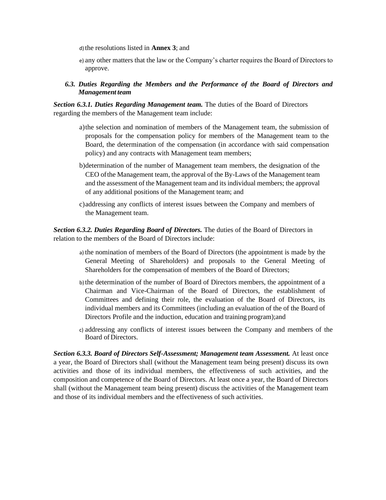d) the resolutions listed in **Annex 3**; and

- e) any other matters that the law or the Company's charter requires the Board of Directors to approve.
- *6.3. Duties Regarding the Members and the Performance of the Board of Directors and Management team*

<span id="page-8-0"></span>**Section 6.3.1. Duties Regarding Management team.** The duties of the Board of Directors regarding the members of the Management team include:

- a)the selection and nomination of members of the Management team, the submission of proposals for the compensation policy for members of the Management team to the Board, the determination of the compensation (in accordance with said compensation policy) and any contracts with Management team members;
- b)determination of the number of Management team members, the designation of the CEO ofthe Management team, the approval of the By-Laws of the Management team and the assessment of the Management team and its individual members; the approval of any additional positions of the Management team; and
- c)addressing any conflicts of interest issues between the Company and members of the Management team.

**Section 6.3.2. Duties Regarding Board of Directors.** The duties of the Board of Directors in relation to the members of the Board of Directors include:

- a) the nomination of members of the Board of Directors (the appointment is made by the General Meeting of Shareholders) and proposals to the General Meeting of Shareholders for the compensation of members of the Board of Directors;
- b) the determination of the number of Board of Directors members, the appointment of a Chairman and Vice-Chairman of the Board of Directors, the establishment of Committees and defining their role, the evaluation of the Board of Directors, its individual members and its Committees (including an evaluation of the of the Board of Directors Profile and the induction, education and training program);and
- c) addressing any conflicts of interest issues between the Company and members of the Board of Directors.

*Section 6.3.3. Board of Directors Self-Assessment; Management team Assessment.* At least once a year, the Board of Directors shall (without the Management team being present) discuss its own activities and those of its individual members, the effectiveness of such activities, and the composition and competence of the Board of Directors. At least once a year, the Board of Directors shall (without the Management team being present) discuss the activities of the Management team and those of its individual members and the effectiveness of such activities.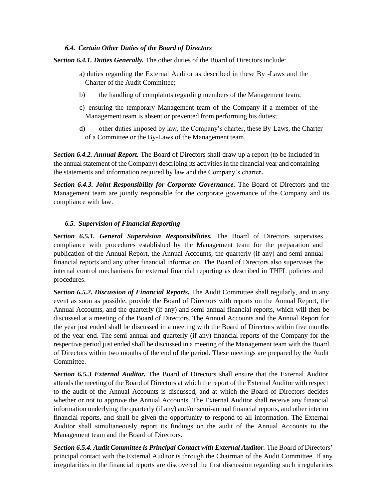# *6.4. Certain Other Duties of the Board of Directors*

<span id="page-9-0"></span>*Section 6.4.1. Duties Generally.* The other duties of the Board of Directors include:

- a) duties regarding the External Auditor as described in these By -Laws and the Charter of the Audit Committee;
- b) the handling of complaints regarding members of the Management team;
- c) ensuring the temporary Management team of the Company if a member of the Management team is absent or prevented from performing his duties;
- d) other duties imposed by law, the Company's charter, these By-Laws, the Charter of a Committee or the By-Laws of the Management team.

*Section 6.4.2. Annual Report.* The Board of Directors shall draw up a report (to be included in the annual statement of the Company) describing its activities in the financial year and containing the statements and information required by law and the Company's charter**.**

**Section 6.4.3. Joint Responsibility for Corporate Governance.** The Board of Directors and the Management team are jointly responsible for the corporate governance of the Company and its compliance with law.

# *6.5. Supervision of Financial Reporting*

<span id="page-9-1"></span>*Section 6.5.1. General Supervision Responsibilities.* The Board of Directors supervises compliance with procedures established by the Management team for the preparation and publication of the Annual Report, the Annual Accounts, the quarterly (if any) and semi-annual financial reports and any other financial information. The Board of Directors also supervises the internal control mechanisms for external financial reporting as described in THFL policies and procedures.

*Section 6.5.2. Discussion of Financial Reports.* The Audit Committee shall regularly, and in any event as soon as possible, provide the Board of Directors with reports on the Annual Report, the Annual Accounts, and the quarterly (if any) and semi-annual financial reports, which will then be discussed at a meeting of the Board of Directors. The Annual Accounts and the Annual Report for the year just ended shall be discussed in a meeting with the Board of Directors within five months of the year end. The semi-annual and quarterly (if any) financial reports of the Company for the respective period just ended shall be discussed in a meeting of the Management team with the Board of Directors within two months of the end of the period. These meetings are prepared by the Audit Committee.

*Section 6.5.3 External Auditor.* The Board of Directors shall ensure that the External Auditor attends the meeting of the Board of Directors at which the report of the External Auditor with respect to the audit of the Annual Accounts is discussed, and at which the Board of Directors decides whether or not to approve the Annual Accounts. The External Auditor shall receive any financial information underlying the quarterly (if any) and/or semi-annual financial reports, and other interim financial reports, and shall be given the opportunity to respond to all information. The External Auditor shall simultaneously report its findings on the audit of the Annual Accounts to the Management team and the Board of Directors.

Section 6.5.4. Audit Committee is Principal Contact with External Auditor. The Board of Directors' principal contact with the External Auditor is through the Chairman of the Audit Committee. If any irregularities in the financial reports are discovered the first discussion regarding such irregularities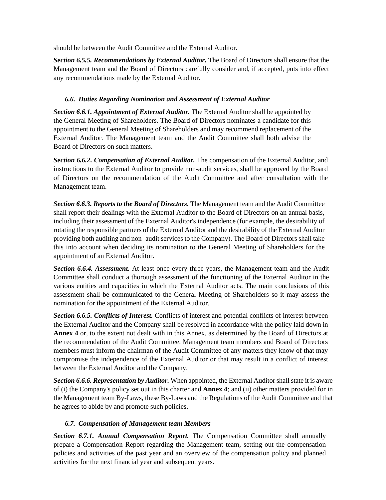should be between the Audit Committee and the External Auditor.

*Section 6.5.5. Recommendations by External Auditor.* The Board of Directors shall ensure that the Management team and the Board of Directors carefully consider and, if accepted, puts into effect any recommendations made by the External Auditor.

# *6.6. Duties Regarding Nomination and Assessment of External Auditor*

<span id="page-10-0"></span>*Section 6.6.1. Appointment of External Auditor.* The External Auditor shall be appointed by the General Meeting of Shareholders. The Board of Directors nominates a candidate for this appointment to the General Meeting of Shareholders and may recommend replacement of the External Auditor. The Management team and the Audit Committee shall both advise the Board of Directors on such matters.

*Section 6.6.2. Compensation of External Auditor.* The compensation of the External Auditor, and instructions to the External Auditor to provide non-audit services, shall be approved by the Board of Directors on the recommendation of the Audit Committee and after consultation with the Management team.

*Section 6.6.3. Reports to the Board of Directors.* The Management team and the Audit Committee shall report their dealings with the External Auditor to the Board of Directors on an annual basis, including their assessment of the External Auditor's independence (for example, the desirability of rotating the responsible partners of the External Auditor and the desirability of the External Auditor providing both auditing and non- audit services to the Company). The Board of Directors shall take this into account when deciding its nomination to the General Meeting of Shareholders for the appointment of an External Auditor.

*Section 6.6.4. Assessment.* At least once every three years, the Management team and the Audit Committee shall conduct a thorough assessment of the functioning of the External Auditor in the various entities and capacities in which the External Auditor acts. The main conclusions of this assessment shall be communicated to the General Meeting of Shareholders so it may assess the nomination for the appointment of the External Auditor.

*Section 6.6.5. Conflicts of Interest.* Conflicts of interest and potential conflicts of interest between the External Auditor and the Company shall be resolved in accordance with the policy laid down in **Annex 4** or, to the extent not dealt with in this Annex, as determined by the Board of Directors at the recommendation of the Audit Committee. Management team members and Board of Directors members must inform the chairman of the Audit Committee of any matters they know of that may compromise the independence of the External Auditor or that may result in a conflict of interest between the External Auditor and the Company.

*Section 6.6.6. Representation by Auditor.* When appointed, the External Auditor shall state it is aware of (i) the Company's policy set out in this charter and **Annex 4**; and (ii) other matters provided for in the Management team By-Laws, these By-Laws and the Regulations of the Audit Committee and that he agrees to abide by and promote such policies.

# *6.7. Compensation of Management team Members*

<span id="page-10-1"></span>*Section 6.7.1. Annual Compensation Report.* The Compensation Committee shall annually prepare a Compensation Report regarding the Management team, setting out the compensation policies and activities of the past year and an overview of the compensation policy and planned activities for the next financial year and subsequent years.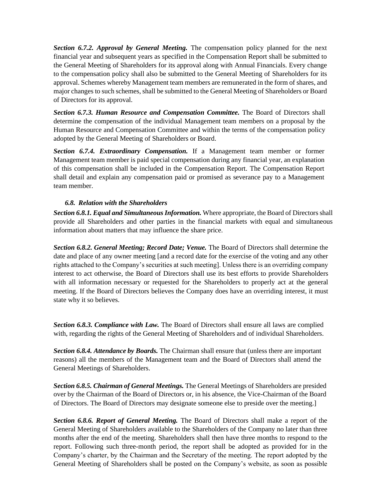*Section 6.7.2. Approval by General Meeting.* The compensation policy planned for the next financial year and subsequent years as specified in the Compensation Report shall be submitted to the General Meeting of Shareholders for its approval along with Annual Financials. Every change to the compensation policy shall also be submitted to the General Meeting of Shareholders for its approval. Schemes whereby Management team members are remunerated in the form of shares, and major changes to such schemes, shall be submitted to the General Meeting of Shareholders or Board of Directors for its approval.

**Section 6.7.3. Human Resource and Compensation Committee.** The Board of Directors shall determine the compensation of the individual Management team members on a proposal by the Human Resource and Compensation Committee and within the terms of the compensation policy adopted by the General Meeting of Shareholders or Board.

*Section 6.7.4. Extraordinary Compensation.* If a Management team member or former Management team member is paid special compensation during any financial year, an explanation of this compensation shall be included in the Compensation Report. The Compensation Report shall detail and explain any compensation paid or promised as severance pay to a Management team member.

# *6.8. Relation with the Shareholders*

*Section 6.8.1. Equal and Simultaneous Information.* Where appropriate, the Board of Directors shall provide all Shareholders and other parties in the financial markets with equal and simultaneous information about matters that may influence the share price.

<span id="page-11-0"></span>*Section 6.8.2. General Meeting; Record Date; Venue.* The Board of Directors shall determine the date and place of any owner meeting [and a record date for the exercise of the voting and any other rights attached to the Company's securities at such meeting]. Unless there is an overriding company interest to act otherwise, the Board of Directors shall use its best efforts to provide Shareholders with all information necessary or requested for the Shareholders to properly act at the general meeting. If the Board of Directors believes the Company does have an overriding interest, it must state why it so believes.

**Section 6.8.3. Compliance with Law.** The Board of Directors shall ensure all laws are complied with, regarding the rights of the General Meeting of Shareholders and of individual Shareholders.

*Section 6.8.4. Attendance by Boards.* The Chairman shall ensure that (unless there are important reasons) all the members of the Management team and the Board of Directors shall attend the General Meetings of Shareholders.

*Section 6.8.5. Chairman of General Meetings.* The General Meetings of Shareholders are presided over by the Chairman of the Board of Directors or, in his absence, the Vice-Chairman of the Board of Directors. The Board of Directors may designate someone else to preside over the meeting.]

*Section 6.8.6. Report of General Meeting.* The Board of Directors shall make a report of the General Meeting of Shareholders available to the Shareholders of the Company no later than three months after the end of the meeting. Shareholders shall then have three months to respond to the report. Following such three-month period, the report shall be adopted as provided for in the Company's charter, by the Chairman and the Secretary of the meeting. The report adopted by the General Meeting of Shareholders shall be posted on the Company's website, as soon as possible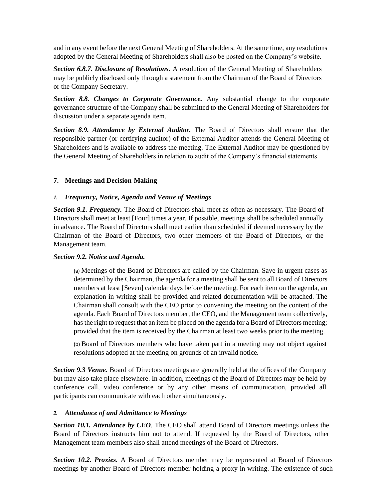and in any event before the next General Meeting of Shareholders. At the same time, any resolutions adopted by the General Meeting of Shareholders shall also be posted on the Company's website.

*Section 6.8.7. Disclosure of Resolutions.* A resolution of the General Meeting of Shareholders may be publicly disclosed only through a statement from the Chairman of the Board of Directors or the Company Secretary.

*Section 8.8. Changes to Corporate Governance.* Any substantial change to the corporate governance structure of the Company shall be submitted to the General Meeting of Shareholders for discussion under a separate agenda item.

*Section 8.9. Attendance by External Auditor.* The Board of Directors shall ensure that the responsible partner (or certifying auditor) of the External Auditor attends the General Meeting of Shareholders and is available to address the meeting. The External Auditor may be questioned by the General Meeting of Shareholders in relation to audit of the Company's financial statements.

# **7. Meetings and Decision-Making**

# *1. Frequency, Notice, Agenda and Venue of Meetings*

<span id="page-12-1"></span><span id="page-12-0"></span>*Section 9.1. Frequency.* The Board of Directors shall meet as often as necessary. The Board of Directors shall meet at least [Four] times a year. If possible, meetings shall be scheduled annually in advance. The Board of Directors shall meet earlier than scheduled if deemed necessary by the Chairman of the Board of Directors, two other members of the Board of Directors, or the Management team.

# *Section 9.2. Notice and Agenda.*

(a) Meetings of the Board of Directors are called by the Chairman. Save in urgent cases as determined by the Chairman, the agenda for a meeting shall be sent to all Board of Directors members at least [Seven] calendar days before the meeting. For each item on the agenda, an explanation in writing shall be provided and related documentation will be attached. The Chairman shall consult with the CEO prior to convening the meeting on the content of the agenda. Each Board of Directors member, the CEO, and the Management team collectively, has the right to request that an item be placed on the agenda for a Board of Directors meeting; provided that the item is received by the Chairman at least two weeks prior to the meeting.

(b) Board of Directors members who have taken part in a meeting may not object against resolutions adopted at the meeting on grounds of an invalid notice.

*Section 9.3 Venue.* Board of Directors meetings are generally held at the offices of the Company but may also take place elsewhere. In addition, meetings of the Board of Directors may be held by conference call, video conference or by any other means of communication, provided all participants can communicate with each other simultaneously.

# *2. Attendance of and Admittance to Meetings*

*Section 10.1. Attendance by CEO*. The CEO shall attend Board of Directors meetings unless the Board of Directors instructs him not to attend. If requested by the Board of Directors, other Management team members also shall attend meetings of the Board of Directors.

<span id="page-12-2"></span>*Section 10.2. Proxies.* A Board of Directors member may be represented at Board of Directors meetings by another Board of Directors member holding a proxy in writing. The existence of such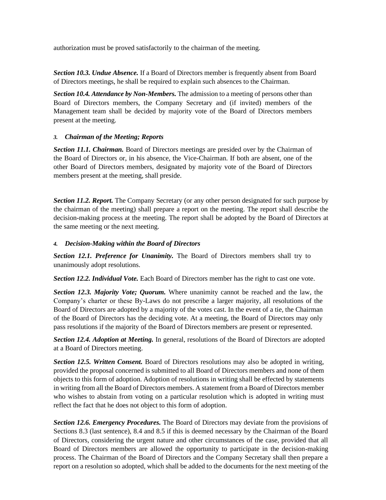authorization must be proved satisfactorily to the chairman of the meeting.

*Section 10.3. Undue Absence.* If a Board of Directors member is frequently absent from Board of Directors meetings, he shall be required to explain such absences to the Chairman.

*Section 10.4. Attendance by Non-Members.* The admission to a meeting of persons other than Board of Directors members, the Company Secretary and (if invited) members of the Management team shall be decided by majority vote of the Board of Directors members present at the meeting.

# *3. Chairman of the Meeting; Reports*

<span id="page-13-0"></span>**Section 11.1. Chairman.** Board of Directors meetings are presided over by the Chairman of the Board of Directors or, in his absence, the Vice-Chairman. If both are absent, one of the other Board of Directors members, designated by majority vote of the Board of Directors members present at the meeting, shall preside.

**Section 11.2. Report.** The Company Secretary (or any other person designated for such purpose by the chairman of the meeting) shall prepare a report on the meeting. The report shall describe the decision-making process at the meeting. The report shall be adopted by the Board of Directors at the same meeting or the next meeting.

# *4. Decision-Making within the Board of Directors*

*Section 12.1. Preference for Unanimity.* The Board of Directors members shall try to unanimously adopt resolutions.

<span id="page-13-1"></span>*Section 12.2. Individual Vote.* Each Board of Directors member has the right to cast one vote.

*Section 12.3. Majority Vote; Quorum.* Where unanimity cannot be reached and the law, the Company's charter or these By-Laws do not prescribe a larger majority, all resolutions of the Board of Directors are adopted by a majority of the votes cast. In the event of a tie, the Chairman of the Board of Directors has the deciding vote. At a meeting, the Board of Directors may only pass resolutions if the majority of the Board of Directors members are present or represented.

*Section 12.4. Adoption at Meeting.* In general, resolutions of the Board of Directors are adopted at a Board of Directors meeting.

**Section 12.5. Written Consent.** Board of Directors resolutions may also be adopted in writing, provided the proposal concerned is submitted to all Board of Directors members and none of them objects to this form of adoption. Adoption of resolutions in writing shall be effected by statements in writing from all the Board of Directors members. A statement from a Board of Directors member who wishes to abstain from voting on a particular resolution which is adopted in writing must reflect the fact that he does not object to this form of adoption.

*Section 12.6. Emergency Procedures.* The Board of Directors may deviate from the provisions of Sections 8.3 (last sentence), 8.4 and 8.5 if this is deemed necessary by the Chairman of the Board of Directors, considering the urgent nature and other circumstances of the case, provided that all Board of Directors members are allowed the opportunity to participate in the decision-making process. The Chairman of the Board of Directors and the Company Secretary shall then prepare a report on a resolution so adopted, which shall be added to the documents for the next meeting of the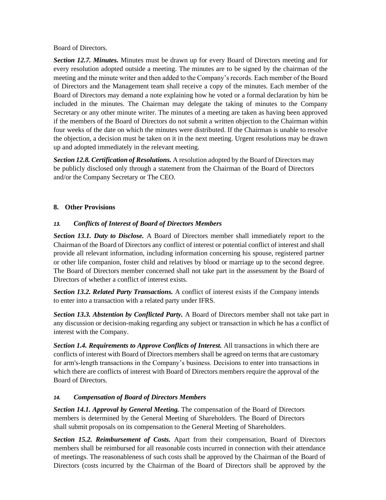Board of Directors.

*Section 12.7. Minutes.* Minutes must be drawn up for every Board of Directors meeting and for every resolution adopted outside a meeting. The minutes are to be signed by the chairman of the meeting and the minute writer and then added to the Company's records. Each member of the Board of Directors and the Management team shall receive a copy of the minutes. Each member of the Board of Directors may demand a note explaining how he voted or a formal declaration by him be included in the minutes. The Chairman may delegate the taking of minutes to the Company Secretary or any other minute writer. The minutes of a meeting are taken as having been approved if the members of the Board of Directors do not submit a written objection to the Chairman within four weeks of the date on which the minutes were distributed. If the Chairman is unable to resolve the objection, a decision must be taken on it in the next meeting. Urgent resolutions may be drawn up and adopted immediately in the relevant meeting.

*Section 12.8. Certification of Resolutions.* A resolution adopted by the Board of Directors may be publicly disclosed only through a statement from the Chairman of the Board of Directors and/or the Company Secretary or The CEO.

# **8. Other Provisions**

# *13. Conflicts of Interest of Board of Directors Members*

<span id="page-14-1"></span><span id="page-14-0"></span>*Section 13.1. Duty to Disclose.* A Board of Directors member shall immediately report to the Chairman of the Board of Directors any conflict of interest or potential conflict of interest and shall provide all relevant information, including information concerning his spouse, registered partner or other life companion, foster child and relatives by blood or marriage up to the second degree. The Board of Directors member concerned shall not take part in the assessment by the Board of Directors of whether a conflict of interest exists.

*Section 13.2. Related Party Transactions.* A conflict of interest exists if the Company intends to enter into a transaction with a related party under IFRS.

*Section 13.3. Abstention by Conflicted Party.* A Board of Directors member shall not take part in any discussion or decision-making regarding any subject or transaction in which he has a conflict of interest with the Company.

*Section 1.4. Requirements to Approve Conflicts of Interest.* All transactions in which there are conflicts of interest with Board of Directors members shall be agreed on terms that are customary for arm's-length transactions in the Company's business. Decisions to enter into transactions in which there are conflicts of interest with Board of Directors members require the approval of the Board of Directors.

# *14. Compensation of Board of Directors Members*

*Section 14.1. Approval by General Meeting.* The compensation of the Board of Directors members is determined by the General Meeting of Shareholders. The Board of Directors shall submit proposals on its compensation to the General Meeting of Shareholders.

<span id="page-14-2"></span>*Section 15.2. Reimbursement of Costs.* Apart from their compensation, Board of Directors members shall be reimbursed for all reasonable costs incurred in connection with their attendance of meetings. The reasonableness of such costs shall be approved by the Chairman of the Board of Directors (costs incurred by the Chairman of the Board of Directors shall be approved by the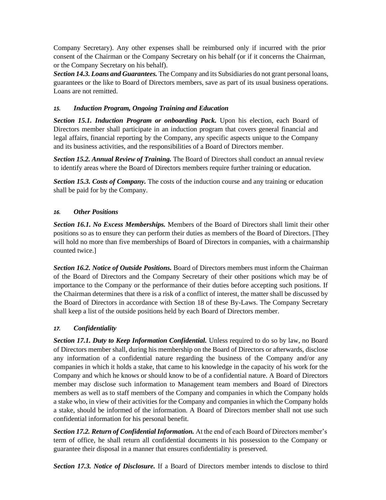Company Secretary). Any other expenses shall be reimbursed only if incurred with the prior consent of the Chairman or the Company Secretary on his behalf (or if it concerns the Chairman, or the Company Secretary on his behalf).

*Section 14.3. Loans and Guarantees.* The Company and its Subsidiaries do not grant personal loans, guarantees or the like to Board of Directors members, save as part of its usual business operations. Loans are not remitted.

### *15. Induction Program, Ongoing Training and Education*

<span id="page-15-0"></span>*Section 15.1. Induction Program or onboarding Pack.* Upon his election, each Board of Directors member shall participate in an induction program that covers general financial and legal affairs, financial reporting by the Company, any specific aspects unique to the Company and its business activities, and the responsibilities of a Board of Directors member.

*Section 15.2. Annual Review of Training.* The Board of Directors shall conduct an annual review to identify areas where the Board of Directors members require further training or education.

*Section 15.3. Costs of Company.* The costs of the induction course and any training or education shall be paid for by the Company.

#### *16. Other Positions*

<span id="page-15-1"></span>*Section 16.1. No Excess Memberships.* Members of the Board of Directors shall limit their other positions so as to ensure they can perform their duties as members of the Board of Directors. [They will hold no more than five memberships of Board of Directors in companies, with a chairmanship counted twice.]

*Section 16.2. Notice of Outside Positions.* Board of Directors members must inform the Chairman of the Board of Directors and the Company Secretary of their other positions which may be of importance to the Company or the performance of their duties before accepting such positions. If the Chairman determines that there is a risk of a conflict of interest, the matter shall be discussed by the Board of Directors in accordance with Section 18 of these By-Laws. The Company Secretary shall keep a list of the outside positions held by each Board of Directors member.

#### *17. Confidentiality*

<span id="page-15-2"></span>**Section 17.1. Duty to Keep Information Confidential.** Unless required to do so by law, no Board of Directors member shall, during his membership on the Board of Directors or afterwards, disclose any information of a confidential nature regarding the business of the Company and/or any companies in which it holds a stake, that came to his knowledge in the capacity of his work for the Company and which he knows or should know to be of a confidential nature. A Board of Directors member may disclose such information to Management team members and Board of Directors members as well as to staff members of the Company and companies in which the Company holds a stake who, in view of their activities for the Company and companies in which the Company holds a stake, should be informed of the information. A Board of Directors member shall not use such confidential information for his personal benefit.

*Section 17.2. Return of Confidential Information.* At the end of each Board of Directors member's term of office, he shall return all confidential documents in his possession to the Company or guarantee their disposal in a manner that ensures confidentiality is preserved.

*Section 17.3. Notice of Disclosure.* If a Board of Directors member intends to disclose to third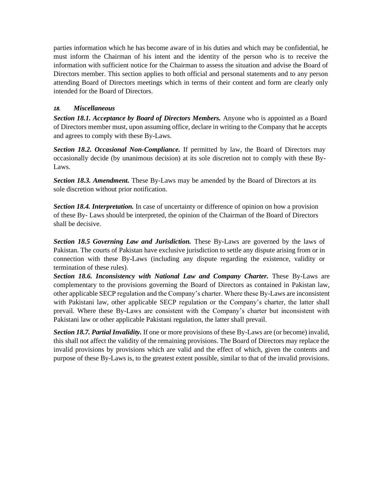parties information which he has become aware of in his duties and which may be confidential, he must inform the Chairman of his intent and the identity of the person who is to receive the information with sufficient notice for the Chairman to assess the situation and advise the Board of Directors member. This section applies to both official and personal statements and to any person attending Board of Directors meetings which in terms of their content and form are clearly only intended for the Board of Directors.

# *18. Miscellaneous*

**Section 18.1. Acceptance by Board of Directors Members.** Anyone who is appointed as a Board of Directors member must, upon assuming office, declare in writing to the Company that he accepts and agrees to comply with these By-Laws.

<span id="page-16-0"></span>*Section 18.2. Occasional Non-Compliance.* If permitted by law, the Board of Directors may occasionally decide (by unanimous decision) at its sole discretion not to comply with these By-Laws.

*Section 18.3. Amendment.* These By-Laws may be amended by the Board of Directors at its sole discretion without prior notification.

*Section 18.4. Interpretation.* In case of uncertainty or difference of opinion on how a provision of these By- Laws should be interpreted, the opinion of the Chairman of the Board of Directors shall be decisive.

*Section 18.5 Governing Law and Jurisdiction.* These By-Laws are governed by the laws of Pakistan. The courts of Pakistan have exclusive jurisdiction to settle any dispute arising from or in connection with these By-Laws (including any dispute regarding the existence, validity or termination of these rules).

**Section 18.6. Inconsistency with National Law and Company Charter.** These By-Laws are complementary to the provisions governing the Board of Directors as contained in Pakistan law, other applicable SECP regulation and the Company's charter. Where these By-Laws are inconsistent with Pakistani law, other applicable SECP regulation or the Company's charter, the latter shall prevail. Where these By-Laws are consistent with the Company's charter but inconsistent with Pakistani law or other applicable Pakistani regulation, the latter shall prevail.

*Section 18.7. Partial Invalidity.* If one or more provisions of these By-Laws are (or become) invalid, this shall not affect the validity of the remaining provisions. The Board of Directors may replace the invalid provisions by provisions which are valid and the effect of which, given the contents and purpose of these By-Laws is, to the greatest extent possible, similar to that of the invalid provisions.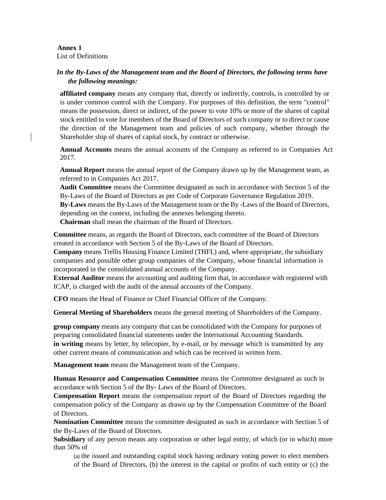#### **Annex 1** List of Definitions

# <span id="page-17-0"></span>*In the By-Laws of the Management team and the Board of Directors, the following terms have the following meanings:*

<span id="page-17-1"></span>**affiliated company** means any company that, directly or indirectly, controls, is controlled by or is under common control with the Company. For purposes of this definition, the term "control" means the possession, direct or indirect, of the power to vote 10% or more of the shares of capital stock entitled to vote for members of the Board of Directors of such company or to direct or cause the direction of the Management team and policies of such company, whether through the Shareholder ship of shares of capital stock, by contract or otherwise.

**Annual Accounts** means the annual accounts of the Company as referred to in Companies Act 2017.

**Annual Report** means the annual report of the Company drawn up by the Management team, as referred to in Companies Act 2017.

**Audit Committee** means the Committee designated as such in accordance with Section 5 of the By-Laws of the Board of Directors as per Code of Corporate Governance Regulation 2019.

**By-Laws** means the By-Laws of the Management team or the By -Laws of the Board of Directors, depending on the context, including the annexes belonging thereto.

**Chairman** shall mean the chairman of the Board of Directors.

**Committee** means, as regards the Board of Directors, each committee of the Board of Directors created in accordance with Section 5 of the By-Laws of the Board of Directors.

**Company** means Trellis Housing Finance Limited (THFL) and, where appropriate, the subsidiary companies and possible other group companies of the Company, whose financial information is incorporated in the consolidated annual accounts of the Company.

**External Auditor** means the accounting and auditing firm that, in accordance with registered with ICAP, is charged with the audit of the annual accounts of the Company.

**CFO** means the Head of Finance or Chief Financial Officer of the Company.

**General Meeting of Shareholders** means the general meeting of Shareholders of the Company.

**group company** means any company that can be consolidated with the Company for purposes of preparing consolidated financial statements under the International Accounting Standards. in writing means by letter, by telecopier, by e-mail, or by message which is transmitted by any other current means of communication and which can be received in written form.

**Management team** means the Management team of the Company.

**Human Resource and Compensation Committee** means the Committee designated as such in accordance with Section 5 of the By- Laws of the Board of Directors.

**Compensation Report** means the compensation report of the Board of Directors regarding the compensation policy of the Company as drawn up by the Compensation Committee of the Board of Directors.

**Nomination Committee** means the committee designated as such in accordance with Section 5 of the By-Laws of the Board of Directors.

**Subsidiary** of any person means any corporation or other legal entity, of which (or in which) more than 50% of

(a) the issued and outstanding capital stock having ordinary voting power to elect members of the Board of Directors, (b) the interest in the capital or profits of such entity or (c) the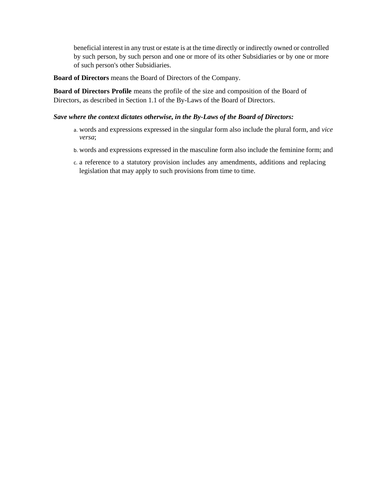beneficial interest in any trust or estate is at the time directly or indirectly owned or controlled by such person, by such person and one or more of its other Subsidiaries or by one or more of such person's other Subsidiaries.

**Board of Directors** means the Board of Directors of the Company.

**Board of Directors Profile** means the profile of the size and composition of the Board of Directors, as described in Section 1.1 of the By-Laws of the Board of Directors.

#### *Save where the context dictates otherwise, in the By-Laws of the Board of Directors:*

- a. words and expressions expressed in the singular form also include the plural form, and *vice versa*;
- <span id="page-18-0"></span>b. words and expressions expressed in the masculine form also include the feminine form; and
- c. a reference to a statutory provision includes any amendments, additions and replacing legislation that may apply to such provisions from time to time.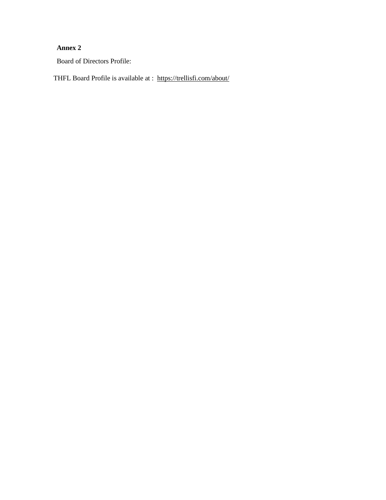# **Annex 2**

Board of Directors Profile:

THFL Board Profile is available at : <https://trellisfi.com/about/>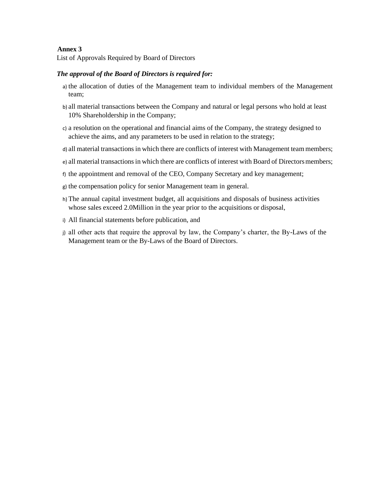#### **Annex 3**

List of Approvals Required by Board of Directors

### <span id="page-20-0"></span>*The approval of the Board of Directors is required for:*

- a) the allocation of duties of the Management team to individual members of the Management team;
- <span id="page-20-1"></span>b) all material transactions between the Company and natural or legal persons who hold at least 10% Shareholdership in the Company;
- c) a resolution on the operational and financial aims of the Company, the strategy designed to achieve the aims, and any parameters to be used in relation to the strategy;
- d) all material transactions in which there are conflicts of interest with Management team members;
- e) all material transactions in which there are conflicts of interest with Board of Directorsmembers;
- f) the appointment and removal of the CEO, Company Secretary and key management;
- g) the compensation policy for senior Management team in general.
- h) The annual capital investment budget, all acquisitions and disposals of business activities whose sales exceed 2.0Million in the year prior to the acquisitions or disposal,
- i) All financial statements before publication, and
- j) all other acts that require the approval by law, the Company's charter, the By-Laws of the Management team or the By-Laws of the Board of Directors.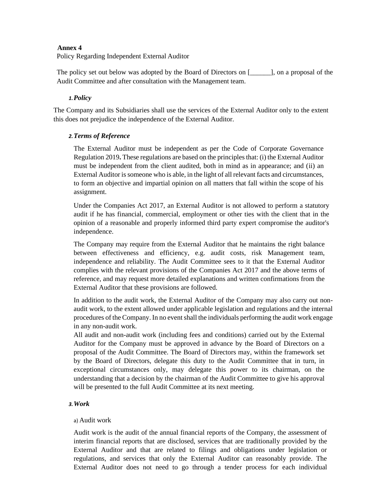#### **Annex 4**

Policy Regarding Independent External Auditor

<span id="page-21-0"></span>The policy set out below was adopted by the Board of Directors on [\_\_\_\_\_\_], on a proposal of the Audit Committee and after consultation with the Management team.

#### *1.Policy*

The Company and its Subsidiaries shall use the services of the External Auditor only to the extent this does not prejudice the independence of the External Auditor.

#### <span id="page-21-1"></span>*2.Terms of Reference*

<span id="page-21-2"></span>The External Auditor must be independent as per the Code of Corporate Governance Regulation 2019**.** These regulations are based on the principles that: (i) the External Auditor must be independent from the client audited, both in mind as in appearance; and (ii) an External Auditor is someone who is able, in the light of all relevant facts and circumstances, to form an objective and impartial opinion on all matters that fall within the scope of his assignment.

Under the Companies Act 2017, an External Auditor is not allowed to perform a statutory audit if he has financial, commercial, employment or other ties with the client that in the opinion of a reasonable and properly informed third party expert compromise the auditor's independence.

The Company may require from the External Auditor that he maintains the right balance between effectiveness and efficiency, e.g. audit costs, risk Management team, independence and reliability. The Audit Committee sees to it that the External Auditor complies with the relevant provisions of the Companies Act 2017 and the above terms of reference, and may request more detailed explanations and written confirmations from the External Auditor that these provisions are followed.

In addition to the audit work, the External Auditor of the Company may also carry out nonaudit work, to the extent allowed under applicable legislation and regulations and the internal procedures of the Company. In no event shall the individuals performing the audit work engage in any non-audit work.

All audit and non-audit work (including fees and conditions) carried out by the External Auditor for the Company must be approved in advance by the Board of Directors on a proposal of the Audit Committee. The Board of Directors may, within the framework set by the Board of Directors, delegate this duty to the Audit Committee that in turn, in exceptional circumstances only, may delegate this power to its chairman, on the understanding that a decision by the chairman of the Audit Committee to give his approval will be presented to the full Audit Committee at its next meeting.

#### *3.Work*

#### a) Audit work

<span id="page-21-3"></span>Audit work is the audit of the annual financial reports of the Company, the assessment of interim financial reports that are disclosed, services that are traditionally provided by the External Auditor and that are related to filings and obligations under legislation or regulations, and services that only the External Auditor can reasonably provide. The External Auditor does not need to go through a tender process for each individual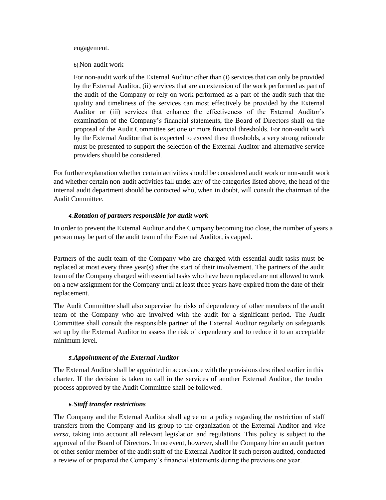#### engagement.

#### b) Non-audit work

For non-audit work of the External Auditor other than (i) services that can only be provided by the External Auditor, (ii) services that are an extension of the work performed as part of the audit of the Company or rely on work performed as a part of the audit such that the quality and timeliness of the services can most effectively be provided by the External Auditor or (iii) services that enhance the effectiveness of the External Auditor's examination of the Company's financial statements, the Board of Directors shall on the proposal of the Audit Committee set one or more financial thresholds. For non-audit work by the External Auditor that is expected to exceed these thresholds, a very strong rationale must be presented to support the selection of the External Auditor and alternative service providers should be considered.

For further explanation whether certain activities should be considered audit work or non-audit work and whether certain non-audit activities fall under any of the categories listed above, the head of the internal audit department should be contacted who, when in doubt, will consult the chairman of the Audit Committee.

# *4.Rotation of partners responsible for audit work*

In order to prevent the External Auditor and the Company becoming too close, the number of years a person may be part of the audit team of the External Auditor, is capped.

<span id="page-22-0"></span>Partners of the audit team of the Company who are charged with essential audit tasks must be replaced at most every three year(s) after the start of their involvement. The partners of the audit team of the Company charged with essential tasks who have been replaced are not allowed to work on a new assignment for the Company until at least three years have expired from the date of their replacement.

The Audit Committee shall also supervise the risks of dependency of other members of the audit team of the Company who are involved with the audit for a significant period. The Audit Committee shall consult the responsible partner of the External Auditor regularly on safeguards set up by the External Auditor to assess the risk of dependency and to reduce it to an acceptable minimum level.

# *5.Appointment of the External Auditor*

<span id="page-22-1"></span>The External Auditor shall be appointed in accordance with the provisions described earlier in this charter. If the decision is taken to call in the services of another External Auditor, the tender process approved by the Audit Committee shall be followed.

# *6.Staff transfer restrictions*

<span id="page-22-2"></span>The Company and the External Auditor shall agree on a policy regarding the restriction of staff transfers from the Company and its group to the organization of the External Auditor and *vice versa*, taking into account all relevant legislation and regulations. This policy is subject to the approval of the Board of Directors. In no event, however, shall the Company hire an audit partner or other senior member of the audit staff of the External Auditor if such person audited, conducted a review of or prepared the Company's financial statements during the previous one year.